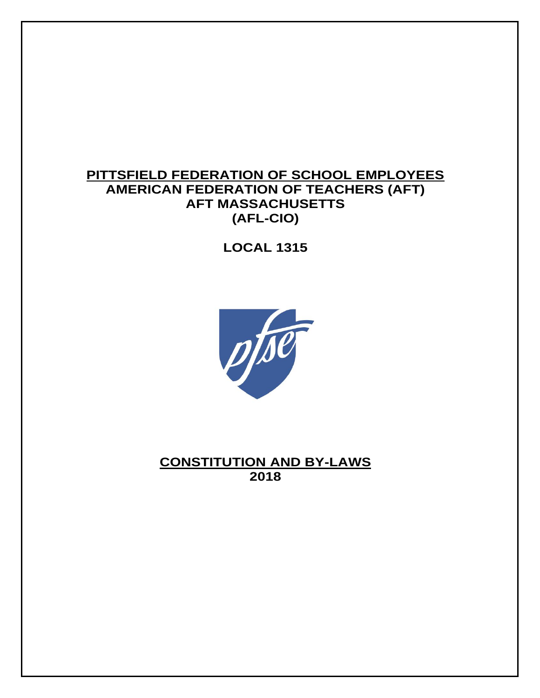# **PITTSFIELD FEDERATION OF SCHOOL EMPLOYEES AMERICAN FEDERATION OF TEACHERS (AFT) AFT MASSACHUSETTS (AFL-CIO)**

**LOCAL 1315**



**CONSTITUTION AND BY-LAWS 2018**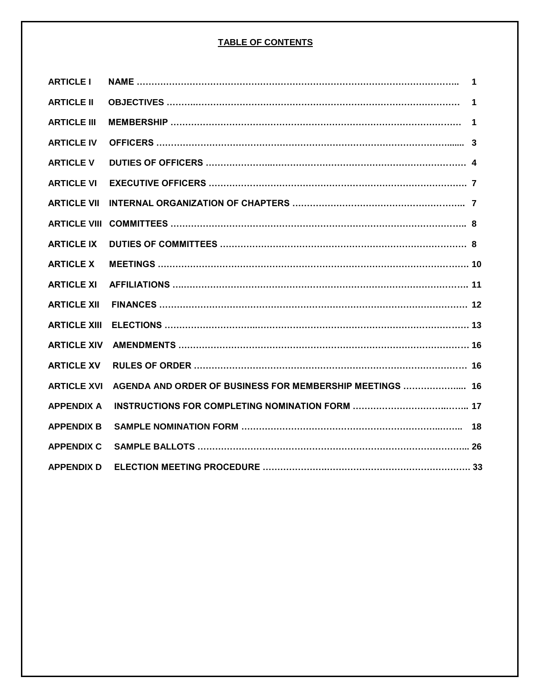## **TABLE OF CONTENTS**

| <b>ARTICLE I</b>    |                                                          | $\blacksquare$ 1 |
|---------------------|----------------------------------------------------------|------------------|
| <b>ARTICLE II</b>   |                                                          | $\mathbf 1$      |
| <b>ARTICLE III</b>  |                                                          |                  |
| <b>ARTICLE IV</b>   |                                                          |                  |
| <b>ARTICLE V</b>    |                                                          |                  |
| <b>ARTICLE VI</b>   |                                                          |                  |
| <b>ARTICLE VII</b>  |                                                          |                  |
| <b>ARTICLE VIII</b> |                                                          |                  |
| <b>ARTICLE IX</b>   |                                                          |                  |
| <b>ARTICLE X</b>    |                                                          |                  |
| <b>ARTICLE XI</b>   |                                                          |                  |
| <b>ARTICLE XII</b>  |                                                          |                  |
| <b>ARTICLE XIII</b> |                                                          |                  |
| <b>ARTICLE XIV</b>  |                                                          |                  |
| <b>ARTICLE XV</b>   |                                                          |                  |
| <b>ARTICLE XVI</b>  | AGENDA AND ORDER OF BUSINESS FOR MEMBERSHIP MEETINGS  16 |                  |
| <b>APPENDIX A</b>   |                                                          |                  |
| <b>APPENDIX B</b>   |                                                          |                  |
| <b>APPENDIX C</b>   |                                                          |                  |
| <b>APPENDIX D</b>   |                                                          |                  |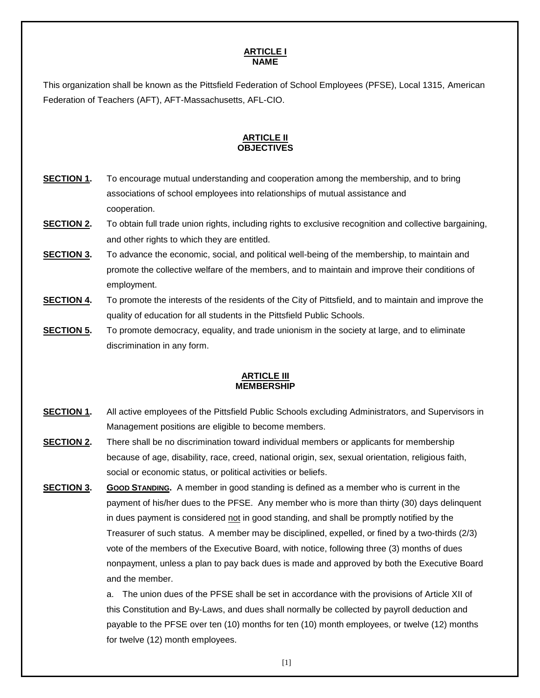### **ARTICLE I NAME**

This organization shall be known as the Pittsfield Federation of School Employees (PFSE), Local 1315, American Federation of Teachers (AFT), AFT-Massachusetts, AFL-CIO.

## **ARTICLE II OBJECTIVES**

- **SECTION 1.** To encourage mutual understanding and cooperation among the membership, and to bring associations of school employees into relationships of mutual assistance and cooperation.
- **SECTION 2.** To obtain full trade union rights, including rights to exclusive recognition and collective bargaining, and other rights to which they are entitled.
- **SECTION 3.** To advance the economic, social, and political well-being of the membership, to maintain and promote the collective welfare of the members, and to maintain and improve their conditions of employment.
- **SECTION 4.** To promote the interests of the residents of the City of Pittsfield, and to maintain and improve the quality of education for all students in the Pittsfield Public Schools.
- **SECTION 5.** To promote democracy, equality, and trade unionism in the society at large, and to eliminate discrimination in any form.

### **ARTICLE III MEMBERSHIP**

- **SECTION 1.** All active employees of the Pittsfield Public Schools excluding Administrators, and Supervisors in Management positions are eligible to become members.
- **SECTION 2.** There shall be no discrimination toward individual members or applicants for membership because of age, disability, race, creed, national origin, sex, sexual orientation, religious faith, social or economic status, or political activities or beliefs.
- **SECTION 3.** GOOD **STANDING**. A member in good standing is defined as a member who is current in the payment of his/her dues to the PFSE. Any member who is more than thirty (30) days delinquent in dues payment is considered not in good standing, and shall be promptly notified by the Treasurer of such status. A member may be disciplined, expelled, or fined by a two-thirds (2/3) vote of the members of the Executive Board, with notice, following three (3) months of dues nonpayment, unless a plan to pay back dues is made and approved by both the Executive Board and the member.

a. The union dues of the PFSE shall be set in accordance with the provisions of Article XII of this Constitution and By-Laws, and dues shall normally be collected by payroll deduction and payable to the PFSE over ten (10) months for ten (10) month employees, or twelve (12) months for twelve (12) month employees.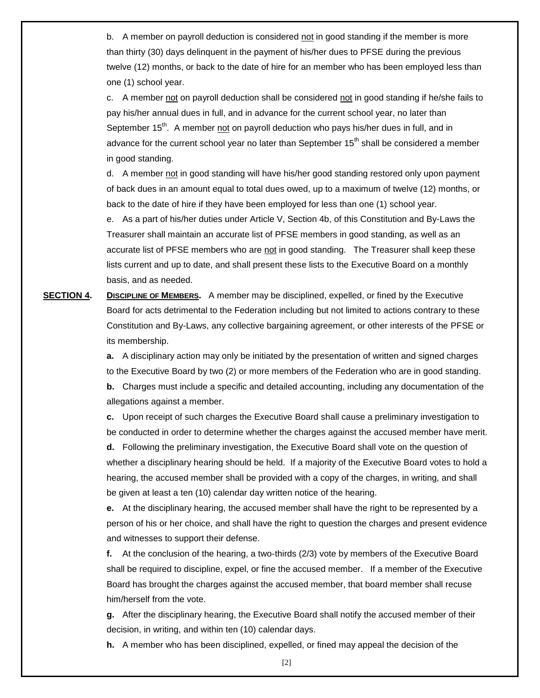b. A member on payroll deduction is considered not in good standing if the member is more than thirty (30) days delinquent in the payment of his/her dues to PFSE during the previous twelve (12) months, or back to the date of hire for an member who has been employed less than one (1) school year.

c. A member not on payroll deduction shall be considered not in good standing if he/she fails to pay his/her annual dues in full, and in advance for the current school year, no later than September 15<sup>th</sup>. A member not on payroll deduction who pays his/her dues in full, and in advance for the current school year no later than September 15<sup>th</sup> shall be considered a member in good standing.

d. A member not in good standing will have his/her good standing restored only upon payment of back dues in an amount equal to total dues owed, up to a maximum of twelve (12) months, or back to the date of hire if they have been employed for less than one (1) school year.

e. As a part of his/her duties under Article V, Section 4b, of this Constitution and By-Laws the Treasurer shall maintain an accurate list of PFSE members in good standing, as well as an accurate list of PFSE members who are not in good standing. The Treasurer shall keep these lists current and up to date, and shall present these lists to the Executive Board on a monthly basis, and as needed.

**SECTION 4.** DISCIPLINE OF MEMBERS. A member may be disciplined, expelled, or fined by the Executive Board for acts detrimental to the Federation including but not limited to actions contrary to these Constitution and By-Laws, any collective bargaining agreement, or other interests of the PFSE or its membership.

> **a.** A disciplinary action may only be initiated by the presentation of written and signed charges to the Executive Board by two (2) or more members of the Federation who are in good standing.

> **b.** Charges must include a specific and detailed accounting, including any documentation of the allegations against a member.

> **c.** Upon receipt of such charges the Executive Board shall cause a preliminary investigation to be conducted in order to determine whether the charges against the accused member have merit.

> **d.** Following the preliminary investigation, the Executive Board shall vote on the question of whether a disciplinary hearing should be held. If a majority of the Executive Board votes to hold a hearing, the accused member shall be provided with a copy of the charges, in writing, and shall be given at least a ten (10) calendar day written notice of the hearing.

> **e.** At the disciplinary hearing, the accused member shall have the right to be represented by a person of his or her choice, and shall have the right to question the charges and present evidence and witnesses to support their defense.

**f.** At the conclusion of the hearing, a two-thirds (2/3) vote by members of the Executive Board shall be required to discipline, expel, or fine the accused member. If a member of the Executive Board has brought the charges against the accused member, that board member shall recuse him/herself from the vote.

**g.** After the disciplinary hearing, the Executive Board shall notify the accused member of their decision, in writing, and within ten (10) calendar days.

**h.** A member who has been disciplined, expelled, or fined may appeal the decision of the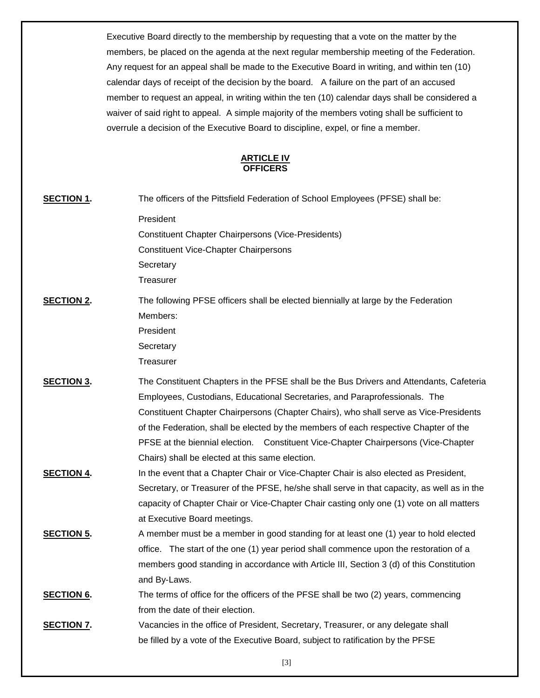Executive Board directly to the membership by requesting that a vote on the matter by the members, be placed on the agenda at the next regular membership meeting of the Federation. Any request for an appeal shall be made to the Executive Board in writing, and within ten (10) calendar days of receipt of the decision by the board. A failure on the part of an accused member to request an appeal, in writing within the ten (10) calendar days shall be considered a waiver of said right to appeal. A simple majority of the members voting shall be sufficient to overrule a decision of the Executive Board to discipline, expel, or fine a member.

#### **ARTICLE IV OFFICERS**

| <b>SECTION 1.</b> | The officers of the Pittsfield Federation of School Employees (PFSE) shall be:                                                                                                                                                                                                                                                                                                                                                                                                                  |
|-------------------|-------------------------------------------------------------------------------------------------------------------------------------------------------------------------------------------------------------------------------------------------------------------------------------------------------------------------------------------------------------------------------------------------------------------------------------------------------------------------------------------------|
|                   | President<br><b>Constituent Chapter Chairpersons (Vice-Presidents)</b><br><b>Constituent Vice-Chapter Chairpersons</b><br>Secretary<br>Treasurer                                                                                                                                                                                                                                                                                                                                                |
| <b>SECTION 2.</b> | The following PFSE officers shall be elected biennially at large by the Federation<br>Members:<br>President<br>Secretary<br>Treasurer                                                                                                                                                                                                                                                                                                                                                           |
| <b>SECTION 3.</b> | The Constituent Chapters in the PFSE shall be the Bus Drivers and Attendants, Cafeteria<br>Employees, Custodians, Educational Secretaries, and Paraprofessionals. The<br>Constituent Chapter Chairpersons (Chapter Chairs), who shall serve as Vice-Presidents<br>of the Federation, shall be elected by the members of each respective Chapter of the<br>PFSE at the biennial election. Constituent Vice-Chapter Chairpersons (Vice-Chapter<br>Chairs) shall be elected at this same election. |
| <b>SECTION 4.</b> | In the event that a Chapter Chair or Vice-Chapter Chair is also elected as President,<br>Secretary, or Treasurer of the PFSE, he/she shall serve in that capacity, as well as in the<br>capacity of Chapter Chair or Vice-Chapter Chair casting only one (1) vote on all matters<br>at Executive Board meetings.                                                                                                                                                                                |
| <b>SECTION 5.</b> | A member must be a member in good standing for at least one (1) year to hold elected<br>office. The start of the one (1) year period shall commence upon the restoration of a<br>members good standing in accordance with Article III, Section 3 (d) of this Constitution<br>and By-Laws.                                                                                                                                                                                                       |
| <b>SECTION 6.</b> | The terms of office for the officers of the PFSE shall be two (2) years, commencing<br>from the date of their election.                                                                                                                                                                                                                                                                                                                                                                         |
| <b>SECTION 7.</b> | Vacancies in the office of President, Secretary, Treasurer, or any delegate shall<br>be filled by a vote of the Executive Board, subject to ratification by the PFSE                                                                                                                                                                                                                                                                                                                            |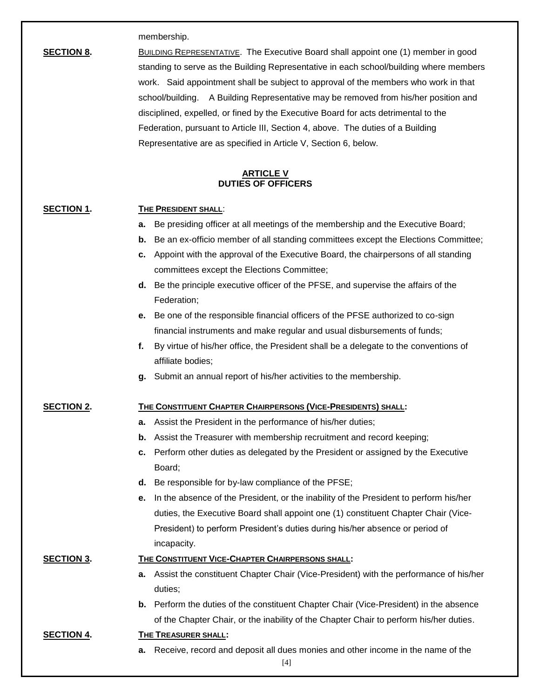membership.

**SECTION 8.** BUILDING REPRESENTATIVE. The Executive Board shall appoint one (1) member in good standing to serve as the Building Representative in each school/building where members work. Said appointment shall be subject to approval of the members who work in that school/building. A Building Representative may be removed from his/her position and disciplined, expelled, or fined by the Executive Board for acts detrimental to the Federation, pursuant to Article III, Section 4, above. The duties of a Building Representative are as specified in Article V, Section 6, below.

### **ARTICLE V DUTIES OF OFFICERS**

## **SECTION 1. THE PRESIDENT SHALL**:

- **a.** Be presiding officer at all meetings of the membership and the Executive Board;
- **b.** Be an ex-officio member of all standing committees except the Elections Committee;
- **c.** Appoint with the approval of the Executive Board, the chairpersons of all standing committees except the Elections Committee;
- **d.** Be the principle executive officer of the PFSE, and supervise the affairs of the Federation;
- **e.** Be one of the responsible financial officers of the PFSE authorized to co-sign financial instruments and make regular and usual disbursements of funds;
- **f.** By virtue of his/her office, the President shall be a delegate to the conventions of affiliate bodies;
- **g.** Submit an annual report of his/her activities to the membership.

## **SECTION 2. THE CONSTITUENT CHAPTER CHAIRPERSONS (VICE-PRESIDENTS) SHALL:**

- **a.** Assist the President in the performance of his/her duties;
- **b.** Assist the Treasurer with membership recruitment and record keeping;
- **c.** Perform other duties as delegated by the President or assigned by the Executive Board;
- **d.** Be responsible for by-law compliance of the PFSE;
- **e.** In the absence of the President, or the inability of the President to perform his/her duties, the Executive Board shall appoint one (1) constituent Chapter Chair (Vice-President) to perform President's duties during his/her absence or period of incapacity.

## **SECTION 3. THE CONSTITUENT VICE-CHAPTER CHAIRPERSONS SHALL:**

- **a.** Assist the constituent Chapter Chair (Vice-President) with the performance of his/her duties;
- **b.** Perform the duties of the constituent Chapter Chair (Vice-President) in the absence of the Chapter Chair, or the inability of the Chapter Chair to perform his/her duties.

#### **SECTION 4. THE TREASURER SHALL:**

**a.** Receive, record and deposit all dues monies and other income in the name of the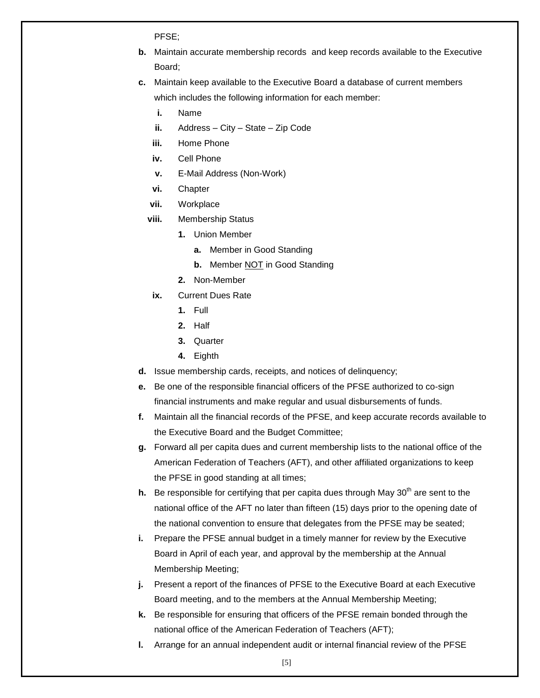PFSE;

- **b.** Maintain accurate membership records and keep records available to the Executive Board;
- **c.** Maintain keep available to the Executive Board a database of current members which includes the following information for each member:
	- **i.** Name
	- **ii.** Address City State Zip Code
	- **iii.** Home Phone
	- **iv.** Cell Phone
	- **v.** E-Mail Address (Non-Work)
	- **vi.** Chapter
	- **vii.** Workplace
	- **viii.** Membership Status
		- **1.** Union Member
			- **a.** Member in Good Standing
			- **b.** Member NOT in Good Standing
		- **2.** Non-Member
	- **ix.** Current Dues Rate
		- **1.** Full
		- **2.** Half
		- **3.** Quarter
		- **4.** Eighth
- **d.** Issue membership cards, receipts, and notices of delinquency;
- **e.** Be one of the responsible financial officers of the PFSE authorized to co-sign financial instruments and make regular and usual disbursements of funds.
- **f.** Maintain all the financial records of the PFSE, and keep accurate records available to the Executive Board and the Budget Committee;
- **g.** Forward all per capita dues and current membership lists to the national office of the American Federation of Teachers (AFT), and other affiliated organizations to keep the PFSE in good standing at all times;
- **h.** Be responsible for certifying that per capita dues through May 30<sup>th</sup> are sent to the national office of the AFT no later than fifteen (15) days prior to the opening date of the national convention to ensure that delegates from the PFSE may be seated;
- **i.** Prepare the PFSE annual budget in a timely manner for review by the Executive Board in April of each year, and approval by the membership at the Annual Membership Meeting;
- **j.** Present a report of the finances of PFSE to the Executive Board at each Executive Board meeting, and to the members at the Annual Membership Meeting;
- **k.** Be responsible for ensuring that officers of the PFSE remain bonded through the national office of the American Federation of Teachers (AFT);
- **l.** Arrange for an annual independent audit or internal financial review of the PFSE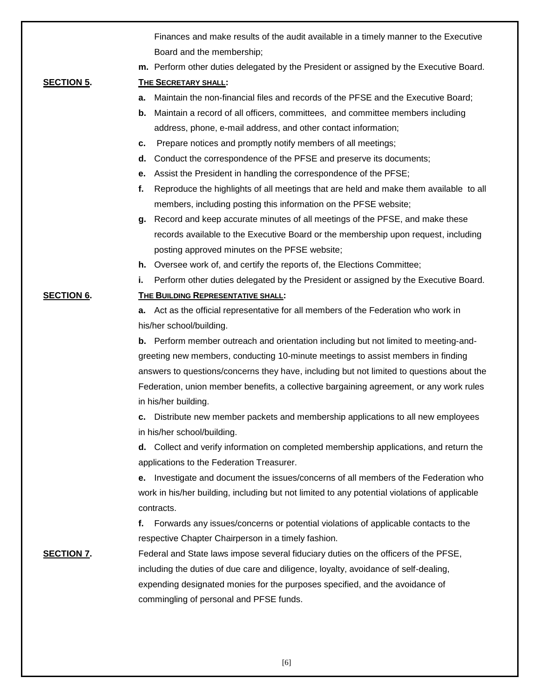|                   | Finances and make results of the audit available in a timely manner to the Executive          |
|-------------------|-----------------------------------------------------------------------------------------------|
|                   | Board and the membership;                                                                     |
|                   | m. Perform other duties delegated by the President or assigned by the Executive Board.        |
| <b>SECTION 5.</b> | THE SECRETARY SHALL:                                                                          |
|                   | a. Maintain the non-financial files and records of the PFSE and the Executive Board;          |
|                   | Maintain a record of all officers, committees, and committee members including<br>b.          |
|                   | address, phone, e-mail address, and other contact information;                                |
|                   | Prepare notices and promptly notify members of all meetings;<br>с.                            |
|                   | Conduct the correspondence of the PFSE and preserve its documents;<br>d.                      |
|                   | Assist the President in handling the correspondence of the PFSE;<br>е.                        |
|                   | Reproduce the highlights of all meetings that are held and make them available to all<br>f.   |
|                   | members, including posting this information on the PFSE website;                              |
|                   | Record and keep accurate minutes of all meetings of the PFSE, and make these<br>g.            |
|                   | records available to the Executive Board or the membership upon request, including            |
|                   | posting approved minutes on the PFSE website;                                                 |
|                   | <b>h.</b> Oversee work of, and certify the reports of, the Elections Committee;               |
|                   | Perform other duties delegated by the President or assigned by the Executive Board.<br>i.     |
| <b>SECTION 6.</b> | <b>THE BUILDING REPRESENTATIVE SHALL:</b>                                                     |
|                   | a. Act as the official representative for all members of the Federation who work in           |
|                   | his/her school/building.                                                                      |
|                   | <b>b.</b> Perform member outreach and orientation including but not limited to meeting-and-   |
|                   | greeting new members, conducting 10-minute meetings to assist members in finding              |
|                   | answers to questions/concerns they have, including but not limited to questions about the     |
|                   | Federation, union member benefits, a collective bargaining agreement, or any work rules       |
|                   | in his/her building.                                                                          |
|                   | c. Distribute new member packets and membership applications to all new employees             |
|                   | in his/her school/building.                                                                   |
|                   | d. Collect and verify information on completed membership applications, and return the        |
|                   | applications to the Federation Treasurer.                                                     |
|                   | Investigate and document the issues/concerns of all members of the Federation who<br>е.       |
|                   | work in his/her building, including but not limited to any potential violations of applicable |
|                   | contracts.                                                                                    |
|                   | Forwards any issues/concerns or potential violations of applicable contacts to the<br>f.      |
|                   | respective Chapter Chairperson in a timely fashion.                                           |
| <b>SECTION 7.</b> | Federal and State laws impose several fiduciary duties on the officers of the PFSE,           |
|                   | including the duties of due care and diligence, loyalty, avoidance of self-dealing,           |
|                   | expending designated monies for the purposes specified, and the avoidance of                  |
|                   | commingling of personal and PFSE funds.                                                       |
|                   |                                                                                               |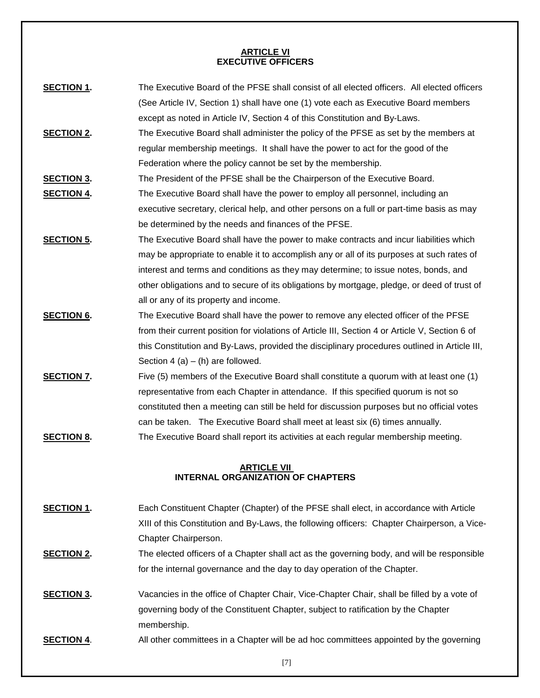### **ARTICLE VI EXECUTIVE OFFICERS**

| <b>SECTION 1.</b>                        | The Executive Board of the PFSE shall consist of all elected officers. All elected officers     |  |
|------------------------------------------|-------------------------------------------------------------------------------------------------|--|
|                                          | (See Article IV, Section 1) shall have one (1) vote each as Executive Board members             |  |
|                                          | except as noted in Article IV, Section 4 of this Constitution and By-Laws.                      |  |
| <b>SECTION 2.</b>                        | The Executive Board shall administer the policy of the PFSE as set by the members at            |  |
|                                          | regular membership meetings. It shall have the power to act for the good of the                 |  |
|                                          | Federation where the policy cannot be set by the membership.                                    |  |
| <b>SECTION 3.</b>                        | The President of the PFSE shall be the Chairperson of the Executive Board.                      |  |
| <b>SECTION 4.</b>                        | The Executive Board shall have the power to employ all personnel, including an                  |  |
|                                          | executive secretary, clerical help, and other persons on a full or part-time basis as may       |  |
|                                          | be determined by the needs and finances of the PFSE.                                            |  |
| <b>SECTION 5.</b>                        | The Executive Board shall have the power to make contracts and incur liabilities which          |  |
|                                          | may be appropriate to enable it to accomplish any or all of its purposes at such rates of       |  |
|                                          | interest and terms and conditions as they may determine; to issue notes, bonds, and             |  |
|                                          | other obligations and to secure of its obligations by mortgage, pledge, or deed of trust of     |  |
|                                          | all or any of its property and income.                                                          |  |
| <b>SECTION 6.</b>                        | The Executive Board shall have the power to remove any elected officer of the PFSE              |  |
|                                          | from their current position for violations of Article III, Section 4 or Article V, Section 6 of |  |
|                                          | this Constitution and By-Laws, provided the disciplinary procedures outlined in Article III,    |  |
|                                          | Section 4 (a) $-$ (h) are followed.                                                             |  |
| <b>SECTION 7.</b>                        | Five (5) members of the Executive Board shall constitute a quorum with at least one (1)         |  |
|                                          | representative from each Chapter in attendance. If this specified quorum is not so              |  |
|                                          | constituted then a meeting can still be held for discussion purposes but no official votes      |  |
|                                          | can be taken. The Executive Board shall meet at least six (6) times annually.                   |  |
| <b>SECTION 8.</b>                        | The Executive Board shall report its activities at each regular membership meeting.             |  |
|                                          | <b>ARTICLE VII</b>                                                                              |  |
| <b>INTERNAL ORGANIZATION OF CHAPTERS</b> |                                                                                                 |  |
| CEOTION 4                                | Feel Constituent Chapter (Chapter) of the DFCF aboli sleet in coordense with Article            |  |

- **SECTION 1.** Each Constituent Chapter (Chapter) of the PFSE shall elect, in accordance with Article XIII of this Constitution and By-Laws, the following officers: Chapter Chairperson, a Vice-Chapter Chairperson.
- **SECTION 2.** The elected officers of a Chapter shall act as the governing body, and will be responsible for the internal governance and the day to day operation of the Chapter.
- **SECTION 3.** Vacancies in the office of Chapter Chair, Vice-Chapter Chair, shall be filled by a vote of governing body of the Constituent Chapter, subject to ratification by the Chapter membership.
- **SECTION 4.** All other committees in a Chapter will be ad hoc committees appointed by the governing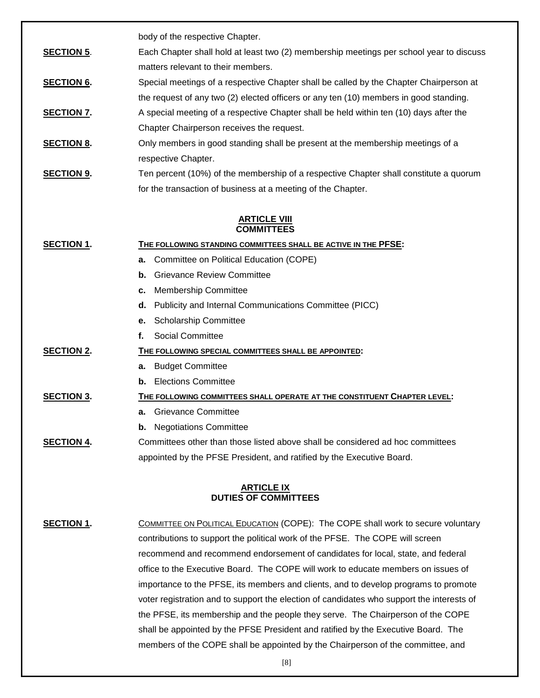body of the respective Chapter.

**SECTION 5.** Each Chapter shall hold at least two (2) membership meetings per school year to discuss matters relevant to their members.

**SECTION 6.** Special meetings of a respective Chapter shall be called by the Chapter Chairperson at the request of any two (2) elected officers or any ten (10) members in good standing.

**SECTION 7.** A special meeting of a respective Chapter shall be held within ten (10) days after the Chapter Chairperson receives the request.

**SECTION 8.** Only members in good standing shall be present at the membership meetings of a respective Chapter.

**SECTION 9.** Ten percent (10%) of the membership of a respective Chapter shall constitute a quorum for the transaction of business at a meeting of the Chapter.

### **ARTICLE VIII COMMITTEES**

| <b>SECTION 1.</b> | THE FOLLOWING STANDING COMMITTEES SHALL BE ACTIVE IN THE <b>PFSE:</b>          |  |  |
|-------------------|--------------------------------------------------------------------------------|--|--|
|                   | Committee on Political Education (COPE)<br>а.                                  |  |  |
|                   | <b>Grievance Review Committee</b><br>b.                                        |  |  |
|                   | <b>Membership Committee</b><br>c.                                              |  |  |
|                   | Publicity and Internal Communications Committee (PICC)<br>d.                   |  |  |
|                   | <b>Scholarship Committee</b><br>е.                                             |  |  |
|                   | Social Committee<br>f.                                                         |  |  |
| <b>SECTION 2.</b> | THE FOLLOWING SPECIAL COMMITTEES SHALL BE APPOINTED:                           |  |  |
|                   | <b>Budget Committee</b><br>а.                                                  |  |  |
|                   | <b>Elections Committee</b><br>b.                                               |  |  |
| <b>SECTION 3.</b> | THE FOLLOWING COMMITTEES SHALL OPERATE AT THE CONSTITUENT CHAPTER LEVEL:       |  |  |
|                   | <b>Grievance Committee</b><br>а.                                               |  |  |
|                   | <b>Negotiations Committee</b><br>b.                                            |  |  |
| <b>SECTION 4.</b> | Committees other than those listed above shall be considered ad hoc committees |  |  |
|                   | appointed by the PFSE President, and ratified by the Executive Board.          |  |  |

### **ARTICLE IX DUTIES OF COMMITTEES**

**SECTION 1.** COMMITTEE ON POLITICAL EDUCATION (COPE): The COPE shall work to secure voluntary contributions to support the political work of the PFSE. The COPE will screen recommend and recommend endorsement of candidates for local, state, and federal office to the Executive Board. The COPE will work to educate members on issues of importance to the PFSE, its members and clients, and to develop programs to promote voter registration and to support the election of candidates who support the interests of the PFSE, its membership and the people they serve. The Chairperson of the COPE shall be appointed by the PFSE President and ratified by the Executive Board. The members of the COPE shall be appointed by the Chairperson of the committee, and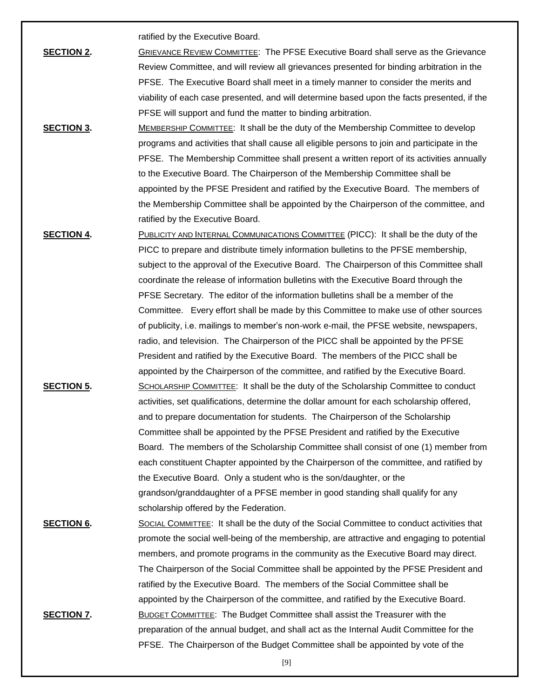ratified by the Executive Board.

- **SECTION 2.** GRIEVANCE REVIEW COMMITTEE: The PFSE Executive Board shall serve as the Grievance Review Committee, and will review all grievances presented for binding arbitration in the PFSE. The Executive Board shall meet in a timely manner to consider the merits and viability of each case presented, and will determine based upon the facts presented, if the PFSE will support and fund the matter to binding arbitration.
- **SECTION 3.** MEMBERSHIP COMMITTEE: It shall be the duty of the Membership Committee to develop programs and activities that shall cause all eligible persons to join and participate in the PFSE. The Membership Committee shall present a written report of its activities annually to the Executive Board. The Chairperson of the Membership Committee shall be appointed by the PFSE President and ratified by the Executive Board. The members of the Membership Committee shall be appointed by the Chairperson of the committee, and ratified by the Executive Board.
- **SECTION 4.** PUBLICITY AND INTERNAL COMMUNICATIONS COMMITTEE (PICC): It shall be the duty of the PICC to prepare and distribute timely information bulletins to the PFSE membership, subject to the approval of the Executive Board. The Chairperson of this Committee shall coordinate the release of information bulletins with the Executive Board through the PFSE Secretary. The editor of the information bulletins shall be a member of the Committee. Every effort shall be made by this Committee to make use of other sources of publicity, i.e. mailings to member's non-work e-mail, the PFSE website, newspapers, radio, and television. The Chairperson of the PICC shall be appointed by the PFSE President and ratified by the Executive Board. The members of the PICC shall be appointed by the Chairperson of the committee, and ratified by the Executive Board. **SECTION 5.** SCHOLARSHIP COMMITTEE: It shall be the duty of the Scholarship Committee to conduct activities, set qualifications, determine the dollar amount for each scholarship offered, and to prepare documentation for students. The Chairperson of the Scholarship Committee shall be appointed by the PFSE President and ratified by the Executive Board. The members of the Scholarship Committee shall consist of one (1) member from each constituent Chapter appointed by the Chairperson of the committee, and ratified by the Executive Board. Only a student who is the son/daughter, or the grandson/granddaughter of a PFSE member in good standing shall qualify for any scholarship offered by the Federation.
- **SECTION 6.** SOCIAL COMMITTEE: It shall be the duty of the Social Committee to conduct activities that promote the social well-being of the membership, are attractive and engaging to potential members, and promote programs in the community as the Executive Board may direct. The Chairperson of the Social Committee shall be appointed by the PFSE President and ratified by the Executive Board. The members of the Social Committee shall be appointed by the Chairperson of the committee, and ratified by the Executive Board. **SECTION 7.** BUDGET COMMITTEE: The Budget Committee shall assist the Treasurer with the preparation of the annual budget, and shall act as the Internal Audit Committee for the PFSE. The Chairperson of the Budget Committee shall be appointed by vote of the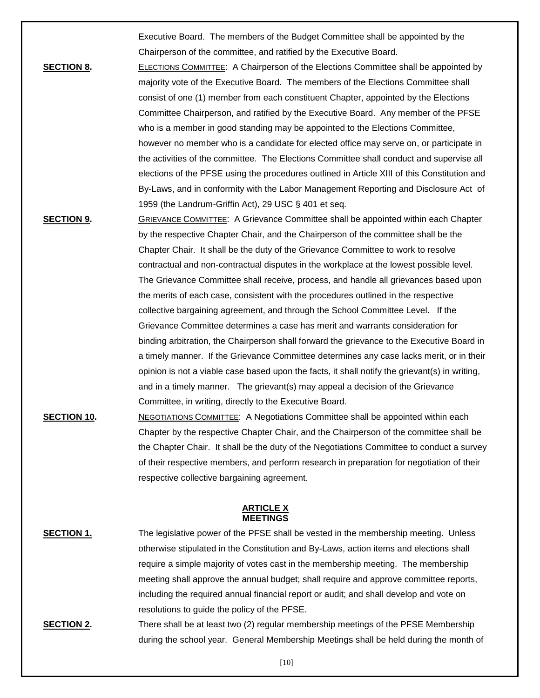Executive Board. The members of the Budget Committee shall be appointed by the Chairperson of the committee, and ratified by the Executive Board.

- **SECTION 8.** ELECTIONS COMMITTEE: A Chairperson of the Elections Committee shall be appointed by majority vote of the Executive Board. The members of the Elections Committee shall consist of one (1) member from each constituent Chapter, appointed by the Elections Committee Chairperson, and ratified by the Executive Board. Any member of the PFSE who is a member in good standing may be appointed to the Elections Committee, however no member who is a candidate for elected office may serve on, or participate in the activities of the committee. The Elections Committee shall conduct and supervise all elections of the PFSE using the procedures outlined in Article XIII of this Constitution and By-Laws, and in conformity with the Labor Management Reporting and Disclosure Act of 1959 (the Landrum-Griffin Act), 29 USC § 401 et seq.
- **SECTION 9.** GRIEVANCE COMMITTEE: A Grievance Committee shall be appointed within each Chapter by the respective Chapter Chair, and the Chairperson of the committee shall be the Chapter Chair. It shall be the duty of the Grievance Committee to work to resolve contractual and non-contractual disputes in the workplace at the lowest possible level. The Grievance Committee shall receive, process, and handle all grievances based upon the merits of each case, consistent with the procedures outlined in the respective collective bargaining agreement, and through the School Committee Level. If the Grievance Committee determines a case has merit and warrants consideration for binding arbitration, the Chairperson shall forward the grievance to the Executive Board in a timely manner. If the Grievance Committee determines any case lacks merit, or in their opinion is not a viable case based upon the facts, it shall notify the grievant(s) in writing, and in a timely manner. The grievant(s) may appeal a decision of the Grievance Committee, in writing, directly to the Executive Board.
- **SECTION 10.** NEGOTIATIONS COMMITTEE: A Negotiations Committee shall be appointed within each Chapter by the respective Chapter Chair, and the Chairperson of the committee shall be the Chapter Chair. It shall be the duty of the Negotiations Committee to conduct a survey of their respective members, and perform research in preparation for negotiation of their respective collective bargaining agreement.

#### **ARTICLE X MEETINGS**

- **SECTION 1.** The legislative power of the PFSE shall be vested in the membership meeting. Unless otherwise stipulated in the Constitution and By-Laws, action items and elections shall require a simple majority of votes cast in the membership meeting. The membership meeting shall approve the annual budget; shall require and approve committee reports, including the required annual financial report or audit; and shall develop and vote on resolutions to guide the policy of the PFSE.
- **SECTION 2.** There shall be at least two (2) regular membership meetings of the PFSE Membership during the school year. General Membership Meetings shall be held during the month of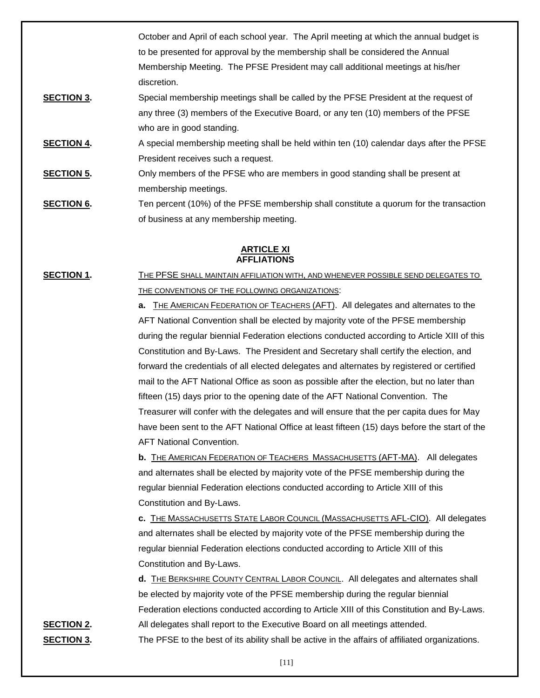October and April of each school year. The April meeting at which the annual budget is to be presented for approval by the membership shall be considered the Annual Membership Meeting. The PFSE President may call additional meetings at his/her discretion.

- **SECTION 3.** Special membership meetings shall be called by the PFSE President at the request of any three (3) members of the Executive Board, or any ten (10) members of the PFSE who are in good standing.
- **SECTION 4.** A special membership meeting shall be held within ten (10) calendar days after the PFSE President receives such a request.
- **SECTION 5.** Only members of the PFSE who are members in good standing shall be present at membership meetings.
- **SECTION 6.** Ten percent (10%) of the PFSE membership shall constitute a quorum for the transaction of business at any membership meeting.

## **ARTICLE XI AFFLIATIONS**

**SECTION 1.** THE PFSE SHALL MAINTAIN AFFILIATION WITH, AND WHENEVER POSSIBLE SEND DELEGATES TO THE CONVENTIONS OF THE FOLLOWING ORGANIZATIONS:

> **a.** THE AMERICAN FEDERATION OF TEACHERS (AFT). All delegates and alternates to the AFT National Convention shall be elected by majority vote of the PFSE membership during the regular biennial Federation elections conducted according to Article XIII of this Constitution and By-Laws. The President and Secretary shall certify the election, and forward the credentials of all elected delegates and alternates by registered or certified mail to the AFT National Office as soon as possible after the election, but no later than fifteen (15) days prior to the opening date of the AFT National Convention. The Treasurer will confer with the delegates and will ensure that the per capita dues for May have been sent to the AFT National Office at least fifteen (15) days before the start of the AFT National Convention.

**b.** THE AMERICAN FEDERATION OF TEACHERS MASSACHUSETTS (AFT-MA). All delegates and alternates shall be elected by majority vote of the PFSE membership during the regular biennial Federation elections conducted according to Article XIII of this Constitution and By-Laws.

**c.** THE MASSACHUSETTS STATE LABOR COUNCIL (MASSACHUSETTS AFL-CIO). All delegates and alternates shall be elected by majority vote of the PFSE membership during the regular biennial Federation elections conducted according to Article XIII of this Constitution and By-Laws.

**d.** THE BERKSHIRE COUNTY CENTRAL LABOR COUNCIL. All delegates and alternates shall be elected by majority vote of the PFSE membership during the regular biennial Federation elections conducted according to Article XIII of this Constitution and By-Laws. **SECTION 2.** All delegates shall report to the Executive Board on all meetings attended. **SECTION 3.** The PFSE to the best of its ability shall be active in the affairs of affiliated organizations.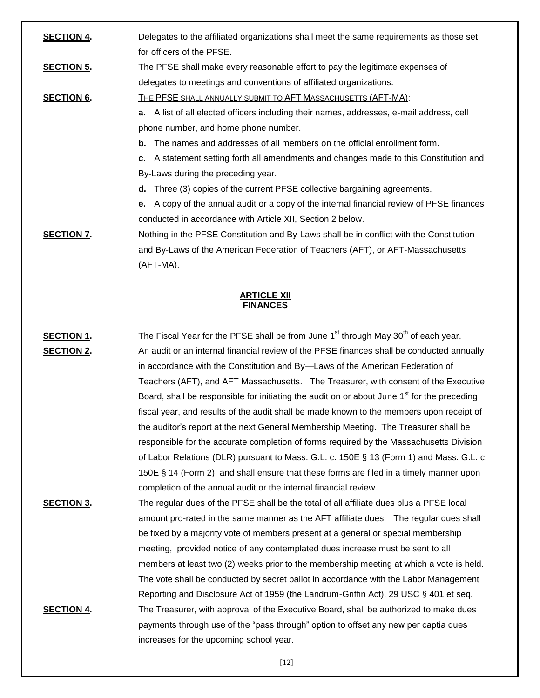| <b>SECTION 4.</b> | Delegates to the affiliated organizations shall meet the same requirements as those set         |  |  |
|-------------------|-------------------------------------------------------------------------------------------------|--|--|
|                   | for officers of the PFSE.                                                                       |  |  |
| <b>SECTION 5.</b> | The PFSE shall make every reasonable effort to pay the legitimate expenses of                   |  |  |
|                   | delegates to meetings and conventions of affiliated organizations.                              |  |  |
| <b>SECTION 6.</b> | THE PFSE SHALL ANNUALLY SUBMIT TO AFT MASSACHUSETTS (AFT-MA):                                   |  |  |
|                   | <b>a.</b> A list of all elected officers including their names, addresses, e-mail address, cell |  |  |
|                   | phone number, and home phone number.                                                            |  |  |
|                   | <b>b.</b> The names and addresses of all members on the official enrollment form.               |  |  |
|                   | c. A statement setting forth all amendments and changes made to this Constitution and           |  |  |
|                   | By-Laws during the preceding year.                                                              |  |  |
|                   | d. Three (3) copies of the current PFSE collective bargaining agreements.                       |  |  |
|                   | e. A copy of the annual audit or a copy of the internal financial review of PFSE finances       |  |  |
|                   | conducted in accordance with Article XII, Section 2 below.                                      |  |  |
| <b>SECTION 7.</b> | Nothing in the PFSE Constitution and By-Laws shall be in conflict with the Constitution         |  |  |
|                   | and By-Laws of the American Federation of Teachers (AFT), or AFT-Massachusetts                  |  |  |
|                   | (AFT-MA).                                                                                       |  |  |
|                   |                                                                                                 |  |  |

#### **ARTICLE XII FINANCES**

| <b>SECTION 1.</b> | The Fiscal Year for the PFSE shall be from June 1 <sup>st</sup> through May 30 <sup>th</sup> of each year. |
|-------------------|------------------------------------------------------------------------------------------------------------|
| <b>SECTION 2.</b> | An audit or an internal financial review of the PFSE finances shall be conducted annually                  |
|                   | in accordance with the Constitution and By-Laws of the American Federation of                              |
|                   | Teachers (AFT), and AFT Massachusetts. The Treasurer, with consent of the Executive                        |
|                   | Board, shall be responsible for initiating the audit on or about June 1 <sup>st</sup> for the preceding    |
|                   | fiscal year, and results of the audit shall be made known to the members upon receipt of                   |
|                   | the auditor's report at the next General Membership Meeting. The Treasurer shall be                        |
|                   | responsible for the accurate completion of forms required by the Massachusetts Division                    |
|                   | of Labor Relations (DLR) pursuant to Mass. G.L. c. 150E § 13 (Form 1) and Mass. G.L. c.                    |
|                   | 150E § 14 (Form 2), and shall ensure that these forms are filed in a timely manner upon                    |
|                   | completion of the annual audit or the internal financial review.                                           |
| <b>SECTION 3.</b> | The regular dues of the PFSE shall be the total of all affiliate dues plus a PFSE local                    |
|                   | amount pro-rated in the same manner as the AFT affiliate dues. The regular dues shall                      |
|                   | be fixed by a majority vote of members present at a general or special membership                          |
|                   | meeting, provided notice of any contemplated dues increase must be sent to all                             |
|                   | members at least two (2) weeks prior to the membership meeting at which a vote is held.                    |
|                   | The vote shall be conducted by secret ballot in accordance with the Labor Management                       |
|                   | Reporting and Disclosure Act of 1959 (the Landrum-Griffin Act), 29 USC § 401 et seq.                       |
| <b>SECTION 4.</b> | The Treasurer, with approval of the Executive Board, shall be authorized to make dues                      |
|                   | payments through use of the "pass through" option to offset any new per captia dues                        |

increases for the upcoming school year.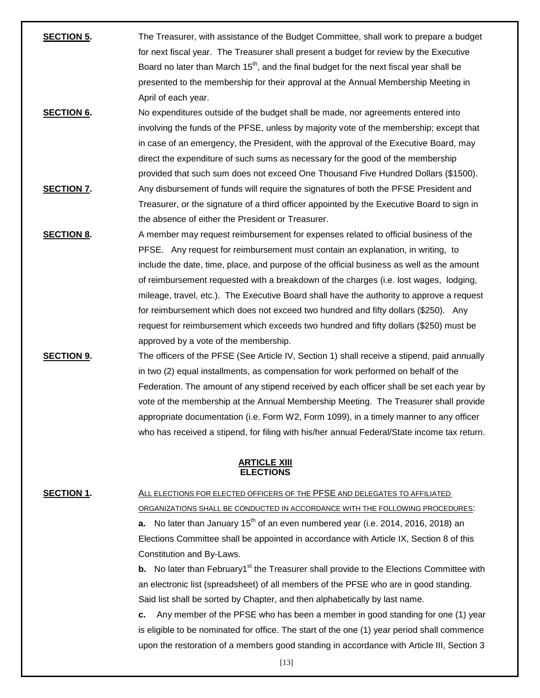**SECTION 5.** The Treasurer, with assistance of the Budget Committee, shall work to prepare a budget for next fiscal year. The Treasurer shall present a budget for review by the Executive Board no later than March  $15<sup>th</sup>$ , and the final budget for the next fiscal year shall be presented to the membership for their approval at the Annual Membership Meeting in April of each year. **SECTION 6.** No expenditures outside of the budget shall be made, nor agreements entered into involving the funds of the PFSE, unless by majority vote of the membership; except that in case of an emergency, the President, with the approval of the Executive Board, may direct the expenditure of such sums as necessary for the good of the membership provided that such sum does not exceed One Thousand Five Hundred Dollars (\$1500). **SECTION 7.** Any disbursement of funds will require the signatures of both the PFSE President and Treasurer, or the signature of a third officer appointed by the Executive Board to sign in the absence of either the President or Treasurer. **SECTION 8.** A member may request reimbursement for expenses related to official business of the PFSE. Any request for reimbursement must contain an explanation, in writing, to include the date, time, place, and purpose of the official business as well as the amount of reimbursement requested with a breakdown of the charges (i.e. lost wages, lodging, mileage, travel, etc.). The Executive Board shall have the authority to approve a request for reimbursement which does not exceed two hundred and fifty dollars (\$250). Any request for reimbursement which exceeds two hundred and fifty dollars (\$250) must be approved by a vote of the membership. **SECTION 9.** The officers of the PFSE (See Article IV, Section 1) shall receive a stipend, paid annually in two (2) equal installments, as compensation for work performed on behalf of the Federation. The amount of any stipend received by each officer shall be set each year by vote of the membership at the Annual Membership Meeting. The Treasurer shall provide

#### **ARTICLE XIII ELECTIONS**

**SECTION 1.** ALL ELECTIONS FOR ELECTED OFFICERS OF THE PFSE AND DELEGATES TO AFFILIATED ORGANIZATIONS SHALL BE CONDUCTED IN ACCORDANCE WITH THE FOLLOWING PROCEDURES: **a.** No later than January 15<sup>th</sup> of an even numbered year (i.e. 2014, 2016, 2018) an Elections Committee shall be appointed in accordance with Article IX, Section 8 of this Constitution and By-Laws.

appropriate documentation (i.e. Form W2, Form 1099), in a timely manner to any officer who has received a stipend, for filing with his/her annual Federal/State income tax return.

**b.** No later than February1<sup>st</sup> the Treasurer shall provide to the Elections Committee with an electronic list (spreadsheet) of all members of the PFSE who are in good standing. Said list shall be sorted by Chapter, and then alphabetically by last name.

**c.** Any member of the PFSE who has been a member in good standing for one (1) year is eligible to be nominated for office. The start of the one (1) year period shall commence upon the restoration of a members good standing in accordance with Article III, Section 3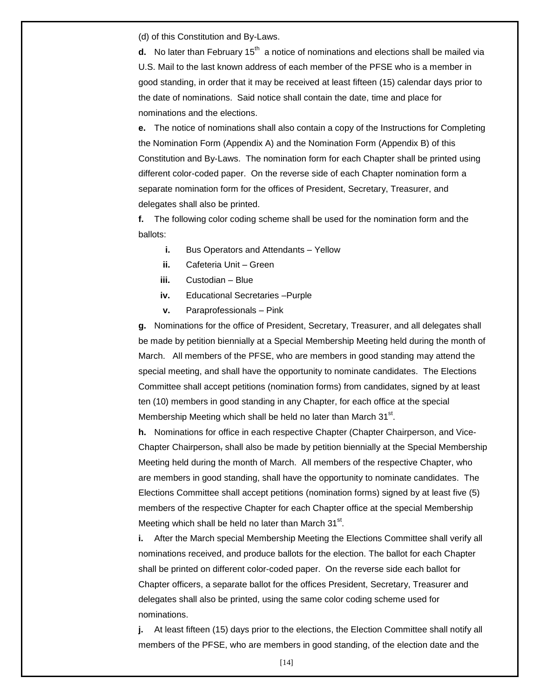(d) of this Constitution and By-Laws.

**d.** No later than February 15<sup>th</sup> a notice of nominations and elections shall be mailed via U.S. Mail to the last known address of each member of the PFSE who is a member in good standing, in order that it may be received at least fifteen (15) calendar days prior to the date of nominations. Said notice shall contain the date, time and place for nominations and the elections.

**e.** The notice of nominations shall also contain a copy of the Instructions for Completing the Nomination Form (Appendix A) and the Nomination Form (Appendix B) of this Constitution and By-Laws. The nomination form for each Chapter shall be printed using different color-coded paper. On the reverse side of each Chapter nomination form a separate nomination form for the offices of President, Secretary, Treasurer, and delegates shall also be printed.

**f.** The following color coding scheme shall be used for the nomination form and the ballots:

- **i.** Bus Operators and Attendants Yellow
- **ii.** Cafeteria Unit Green
- **iii.** Custodian Blue
- **iv.** Educational Secretaries –Purple
- **v.** Paraprofessionals Pink

**g.** Nominations for the office of President, Secretary, Treasurer, and all delegates shall be made by petition biennially at a Special Membership Meeting held during the month of March. All members of the PFSE, who are members in good standing may attend the special meeting, and shall have the opportunity to nominate candidates. The Elections Committee shall accept petitions (nomination forms) from candidates, signed by at least ten (10) members in good standing in any Chapter, for each office at the special Membership Meeting which shall be held no later than March 31<sup>st</sup>.

**h.** Nominations for office in each respective Chapter (Chapter Chairperson, and Vice-Chapter Chairperson, shall also be made by petition biennially at the Special Membership Meeting held during the month of March. All members of the respective Chapter, who are members in good standing, shall have the opportunity to nominate candidates. The Elections Committee shall accept petitions (nomination forms) signed by at least five (5) members of the respective Chapter for each Chapter office at the special Membership Meeting which shall be held no later than March  $31<sup>st</sup>$ .

**i.** After the March special Membership Meeting the Elections Committee shall verify all nominations received, and produce ballots for the election. The ballot for each Chapter shall be printed on different color-coded paper. On the reverse side each ballot for Chapter officers, a separate ballot for the offices President, Secretary, Treasurer and delegates shall also be printed, using the same color coding scheme used for nominations.

**j.** At least fifteen (15) days prior to the elections, the Election Committee shall notify all members of the PFSE, who are members in good standing, of the election date and the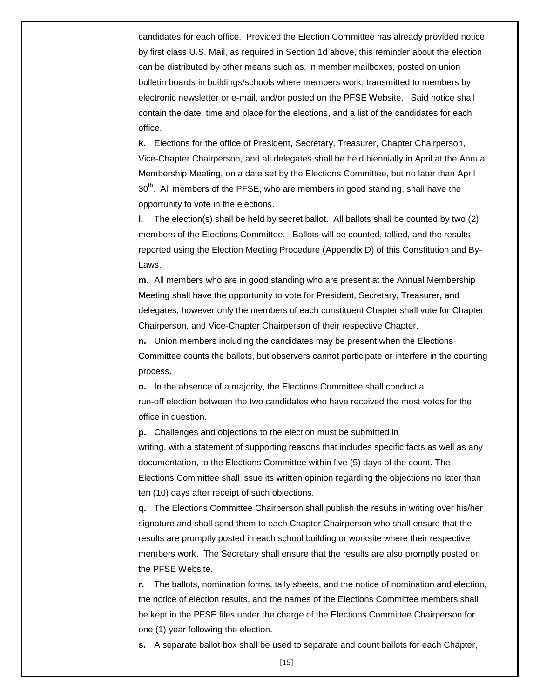candidates for each office. Provided the Election Committee has already provided notice by first class U.S. Mail, as required in Section 1d above, this reminder about the election can be distributed by other means such as, in member mailboxes, posted on union bulletin boards in buildings/schools where members work, transmitted to members by electronic newsletter or e-mail, and/or posted on the PFSE Website. Said notice shall contain the date, time and place for the elections, and a list of the candidates for each office.

**k.** Elections for the office of President, Secretary, Treasurer, Chapter Chairperson, Vice-Chapter Chairperson, and all delegates shall be held biennially in April at the Annual Membership Meeting, on a date set by the Elections Committee, but no later than April 30<sup>th</sup>. All members of the PFSE, who are members in good standing, shall have the opportunity to vote in the elections.

**l.** The election(s) shall be held by secret ballot. All ballots shall be counted by two (2) members of the Elections Committee. Ballots will be counted, tallied, and the results reported using the Election Meeting Procedure (Appendix D) of this Constitution and By-Laws.

**m.** All members who are in good standing who are present at the Annual Membership Meeting shall have the opportunity to vote for President, Secretary, Treasurer, and delegates; however only the members of each constituent Chapter shall vote for Chapter Chairperson, and Vice-Chapter Chairperson of their respective Chapter.

**n.** Union members including the candidates may be present when the Elections Committee counts the ballots, but observers cannot participate or interfere in the counting process.

**o.** In the absence of a majority, the Elections Committee shall conduct a run-off election between the two candidates who have received the most votes for the office in question.

**p.** Challenges and objections to the election must be submitted in writing, with a statement of supporting reasons that includes specific facts as well as any documentation, to the Elections Committee within five (5) days of the count. The Elections Committee shall issue its written opinion regarding the objections no later than ten (10) days after receipt of such objections.

**q.** The Elections Committee Chairperson shall publish the results in writing over his/her signature and shall send them to each Chapter Chairperson who shall ensure that the results are promptly posted in each school building or worksite where their respective members work. The Secretary shall ensure that the results are also promptly posted on the PFSE Website.

**r.** The ballots, nomination forms, tally sheets, and the notice of nomination and election, the notice of election results, and the names of the Elections Committee members shall be kept in the PFSE files under the charge of the Elections Committee Chairperson for one (1) year following the election.

**s.** A separate ballot box shall be used to separate and count ballots for each Chapter,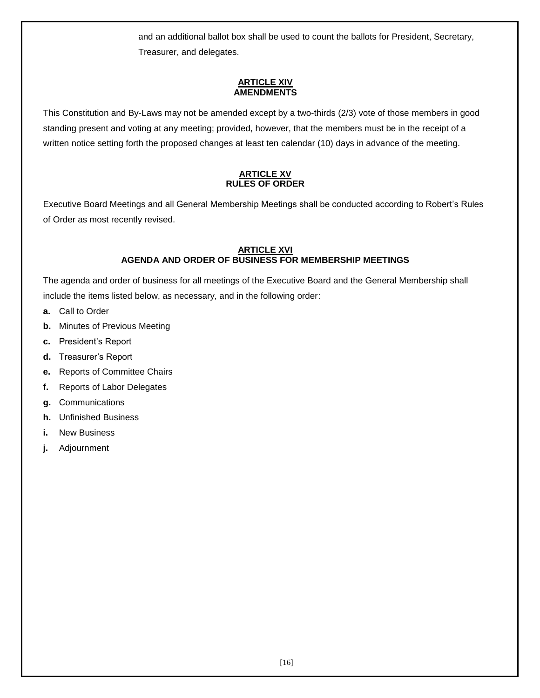and an additional ballot box shall be used to count the ballots for President, Secretary, Treasurer, and delegates.

## **ARTICLE XIV AMENDMENTS**

This Constitution and By-Laws may not be amended except by a two-thirds (2/3) vote of those members in good standing present and voting at any meeting; provided, however, that the members must be in the receipt of a written notice setting forth the proposed changes at least ten calendar (10) days in advance of the meeting.

## **ARTICLE XV RULES OF ORDER**

Executive Board Meetings and all General Membership Meetings shall be conducted according to Robert's Rules of Order as most recently revised.

## **ARTICLE XVI AGENDA AND ORDER OF BUSINESS FOR MEMBERSHIP MEETINGS**

The agenda and order of business for all meetings of the Executive Board and the General Membership shall include the items listed below, as necessary, and in the following order:

- **a.** Call to Order
- **b.** Minutes of Previous Meeting
- **c.** President's Report
- **d.** Treasurer's Report
- **e.** Reports of Committee Chairs
- **f.** Reports of Labor Delegates
- **g.** Communications
- **h.** Unfinished Business
- **i.** New Business
- **j.** Adjournment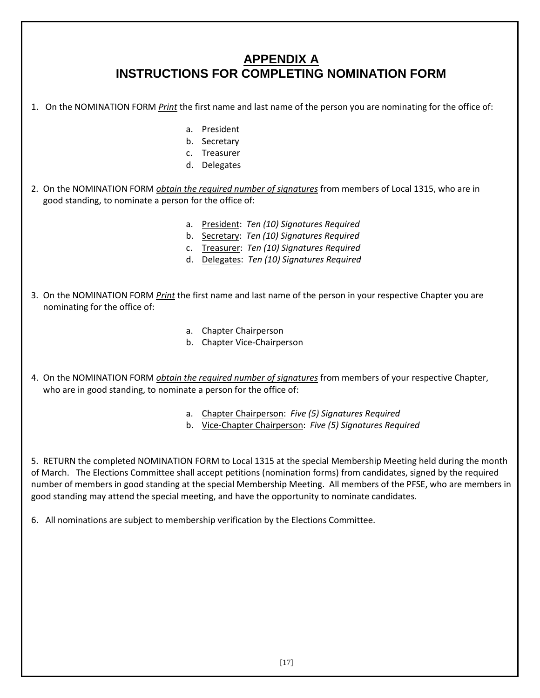# **APPENDIX A INSTRUCTIONS FOR COMPLETING NOMINATION FORM**

- 1. On the NOMINATION FORM *Print* the first name and last name of the person you are nominating for the office of:
	- a. President
	- b. Secretary
	- c. Treasurer
	- d. Delegates
- 2. On the NOMINATION FORM *obtain the required number of signatures* from members of Local 1315, who are in good standing, to nominate a person for the office of:
	- a. President: *Ten (10) Signatures Required*
	- b. Secretary: *Ten (10) Signatures Required*
	- c. Treasurer: *Ten (10) Signatures Required*
	- d. Delegates: *Ten (10) Signatures Required*
- 3. On the NOMINATION FORM *Print* the first name and last name of the person in your respective Chapter you are nominating for the office of:
	- a. Chapter Chairperson
	- b. Chapter Vice-Chairperson
- 4. On the NOMINATION FORM *obtain the required number of signatures* from members of your respective Chapter, who are in good standing, to nominate a person for the office of:
	- a. Chapter Chairperson: *Five (5) Signatures Required*
	- b. Vice-Chapter Chairperson: *Five (5) Signatures Required*

5. RETURN the completed NOMINATION FORM to Local 1315 at the special Membership Meeting held during the month of March. The Elections Committee shall accept petitions (nomination forms) from candidates, signed by the required number of members in good standing at the special Membership Meeting. All members of the PFSE, who are members in good standing may attend the special meeting, and have the opportunity to nominate candidates.

6. All nominations are subject to membership verification by the Elections Committee.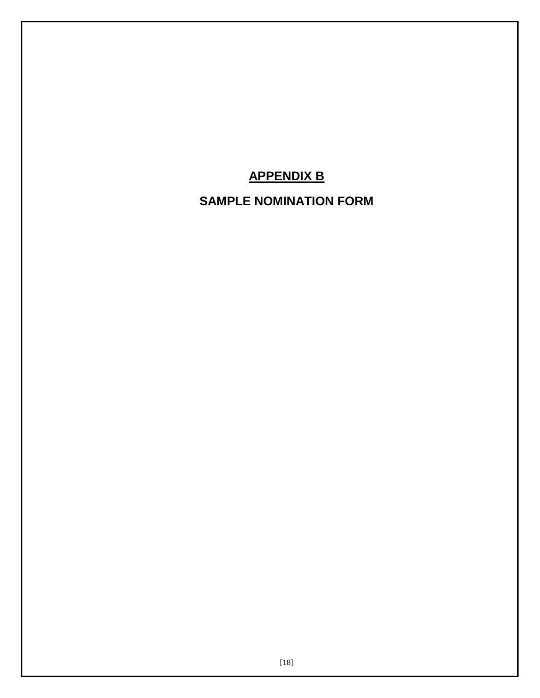# **APPENDIX B**

# **SAMPLE NOMINATION FORM**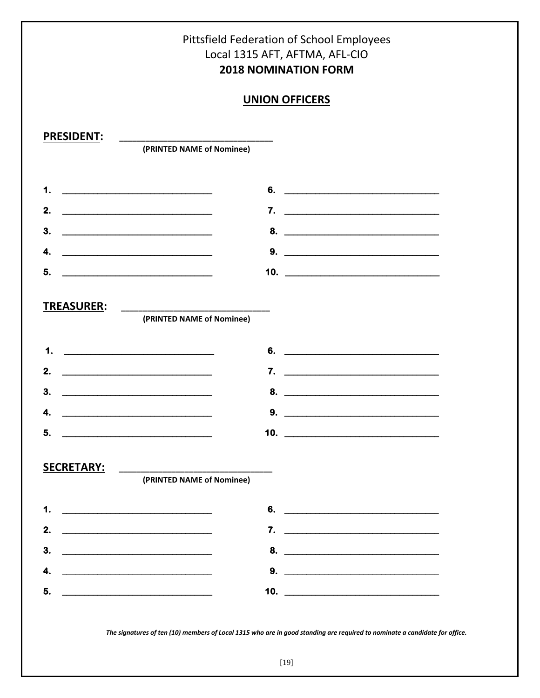

The signatures of ten (10) members of Local 1315 who are in good standing are required to nominate a candidate for office.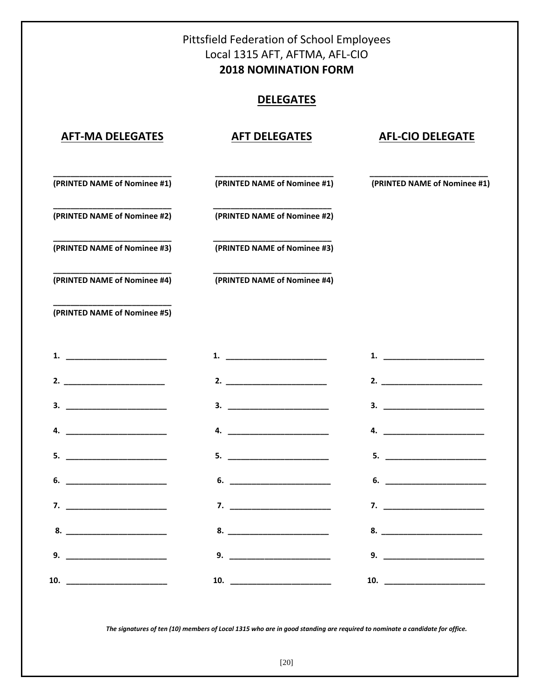# Pittsfield Federation of School Employees Local 1315 AFT, AFTMA, AFL-CIO **2018 NOMINATION FORM**

# **DELEGATES**

## **AFT-MA DELEGATES AFT DELEGATES AFL-CIO DELEGATE**

 **\_\_\_\_\_\_\_\_\_\_\_\_\_\_\_\_\_\_\_\_\_\_\_\_\_\_\_ \_\_\_\_\_\_\_\_\_\_\_\_\_\_\_\_\_\_\_\_\_\_\_\_\_\_\_ \_\_\_\_\_\_\_\_\_\_\_\_\_\_\_\_\_\_\_\_\_\_\_\_\_\_\_**

 **(PRINTED NAME of Nominee #1) (PRINTED NAME of Nominee #1) (PRINTED NAME of Nominee #1)**

 **\_\_\_\_\_\_\_\_\_\_\_\_\_\_\_\_\_\_\_\_\_\_\_\_\_\_\_ \_\_\_\_\_\_\_\_\_\_\_\_\_\_\_\_\_\_\_\_\_\_\_\_\_\_\_ (PRINTED NAME of Nominee #2) (PRINTED NAME of Nominee #2)** 

 **\_\_\_\_\_\_\_\_\_\_\_\_\_\_\_\_\_\_\_\_\_\_\_\_\_\_\_ \_\_\_\_\_\_\_\_\_\_\_\_\_\_\_\_\_\_\_\_\_\_\_\_\_\_\_ (PRINTED NAME of Nominee #3) (PRINTED NAME of Nominee #3)**

 **(PRINTED NAME of Nominee #4) (PRINTED NAME of Nominee #4)** 

 **\_\_\_\_\_\_\_\_\_\_\_\_\_\_\_\_\_\_\_\_\_\_\_\_\_\_\_ \_\_\_\_\_\_\_\_\_\_\_\_\_\_\_\_\_\_\_\_\_\_\_\_\_\_\_** 

 **\_\_\_\_\_\_\_\_\_\_\_\_\_\_\_\_\_\_\_\_\_\_\_\_\_\_\_ (PRINTED NAME of Nominee #5)** 

*The signatures of ten (10) members of Local 1315 who are in good standing are required to nominate a candidate for office.*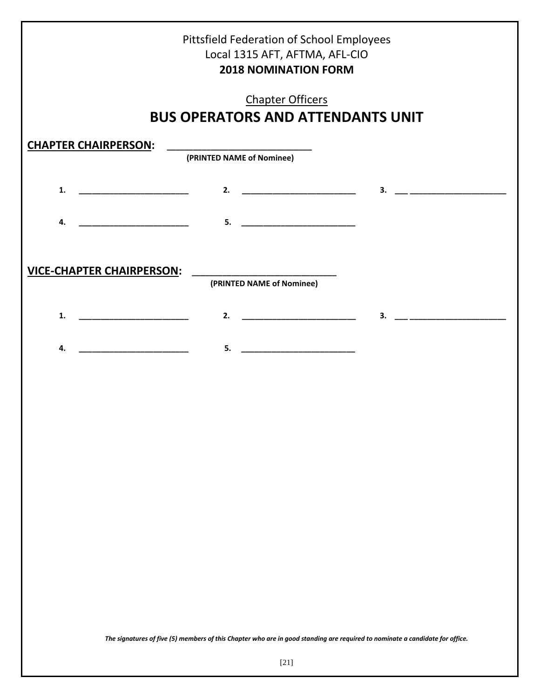|                                                                                                                             | Pittsfield Federation of School Employees<br>Local 1315 AFT, AFTMA, AFL-CIO<br><b>2018 NOMINATION FORM</b> |                    |                           |
|-----------------------------------------------------------------------------------------------------------------------------|------------------------------------------------------------------------------------------------------------|--------------------|---------------------------|
|                                                                                                                             | <b>Chapter Officers</b><br><b>BUS OPERATORS AND ATTENDANTS UNIT</b>                                        |                    |                           |
| <b>CHAPTER CHAIRPERSON:</b>                                                                                                 | (PRINTED NAME of Nominee)                                                                                  |                    |                           |
| 1.<br><u> 1999 - Johann John Stone, mars and de fin de fin de fin de fin de fin de fin de fin de fin de fin de fin de f</u> |                                                                                                            | 2. $\qquad \qquad$ |                           |
| 4.                                                                                                                          | 5. <u>___________________________</u>                                                                      |                    |                           |
| <b>VICE-CHAPTER CHAIRPERSON:</b>                                                                                            | (PRINTED NAME of Nominee)                                                                                  |                    |                           |
| 1.                                                                                                                          |                                                                                                            | 2. $\qquad \qquad$ | $\overline{\mathbf{3}}$ . |
| 4.                                                                                                                          |                                                                                                            |                    |                           |
|                                                                                                                             |                                                                                                            |                    |                           |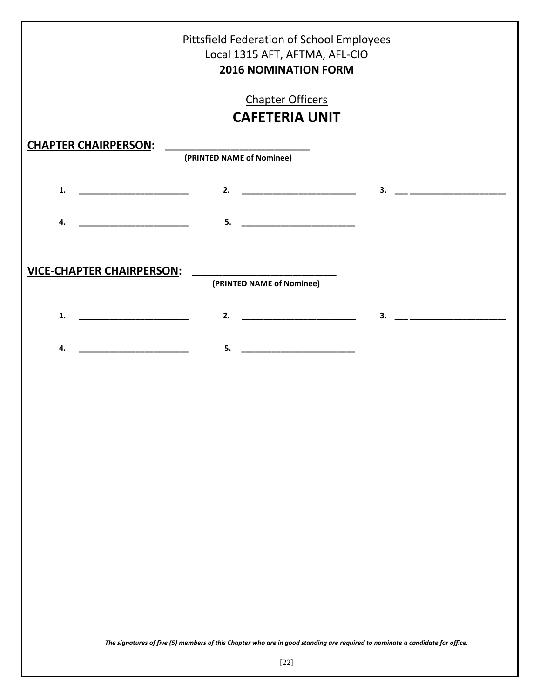|                                                                                                                             | <b>Pittsfield Federation of School Employees</b><br>Local 1315 AFT, AFTMA, AFL-CIO<br><b>2016 NOMINATION FORM</b> |                           |
|-----------------------------------------------------------------------------------------------------------------------------|-------------------------------------------------------------------------------------------------------------------|---------------------------|
|                                                                                                                             | <b>Chapter Officers</b>                                                                                           |                           |
|                                                                                                                             | <b>CAFETERIA UNIT</b>                                                                                             |                           |
| <b>CHAPTER CHAIRPERSON:</b>                                                                                                 | (PRINTED NAME of Nominee)                                                                                         |                           |
| 1.                                                                                                                          |                                                                                                                   | $\overline{\mathbf{3}}$ . |
| <u> 1999 - Johann Harry Harry Harry Harry Harry Harry Harry Harry Harry Harry Harry Harry Harry Harry Harry Harry</u><br>4. | $\overline{\mathbf{5}}$ .                                                                                         |                           |
| <b>VICE-CHAPTER CHAIRPERSON:</b>                                                                                            | (PRINTED NAME of Nominee)                                                                                         |                           |
| 1.                                                                                                                          | 2.                                                                                                                | 3.                        |
| 4.                                                                                                                          | 5.<br><u> 1980 - John Stein, Amerikaansk politiker (</u>                                                          |                           |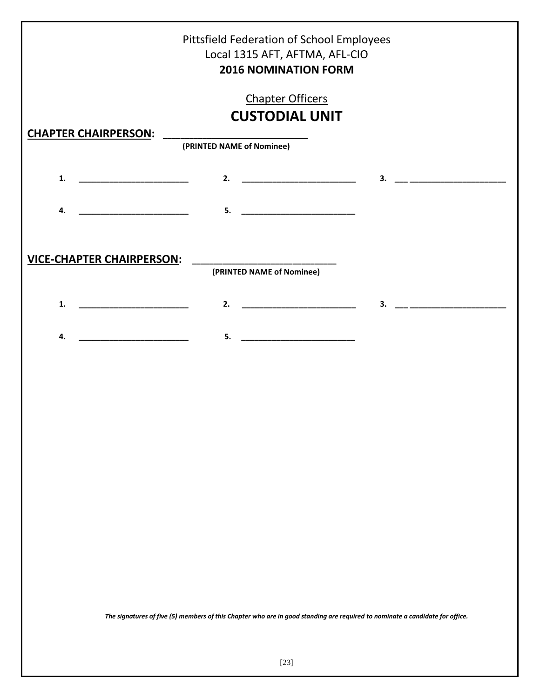|                                                                                                                              | $\overline{\mathbf{3.}}$ $\overline{\mathbf{1.}}$                                                                                                                                                                                                                                                                                                                                                                                                                                      |
|------------------------------------------------------------------------------------------------------------------------------|----------------------------------------------------------------------------------------------------------------------------------------------------------------------------------------------------------------------------------------------------------------------------------------------------------------------------------------------------------------------------------------------------------------------------------------------------------------------------------------|
|                                                                                                                              |                                                                                                                                                                                                                                                                                                                                                                                                                                                                                        |
|                                                                                                                              |                                                                                                                                                                                                                                                                                                                                                                                                                                                                                        |
|                                                                                                                              |                                                                                                                                                                                                                                                                                                                                                                                                                                                                                        |
|                                                                                                                              |                                                                                                                                                                                                                                                                                                                                                                                                                                                                                        |
|                                                                                                                              |                                                                                                                                                                                                                                                                                                                                                                                                                                                                                        |
|                                                                                                                              |                                                                                                                                                                                                                                                                                                                                                                                                                                                                                        |
|                                                                                                                              |                                                                                                                                                                                                                                                                                                                                                                                                                                                                                        |
|                                                                                                                              |                                                                                                                                                                                                                                                                                                                                                                                                                                                                                        |
|                                                                                                                              |                                                                                                                                                                                                                                                                                                                                                                                                                                                                                        |
|                                                                                                                              |                                                                                                                                                                                                                                                                                                                                                                                                                                                                                        |
|                                                                                                                              |                                                                                                                                                                                                                                                                                                                                                                                                                                                                                        |
|                                                                                                                              |                                                                                                                                                                                                                                                                                                                                                                                                                                                                                        |
|                                                                                                                              |                                                                                                                                                                                                                                                                                                                                                                                                                                                                                        |
|                                                                                                                              |                                                                                                                                                                                                                                                                                                                                                                                                                                                                                        |
|                                                                                                                              |                                                                                                                                                                                                                                                                                                                                                                                                                                                                                        |
|                                                                                                                              |                                                                                                                                                                                                                                                                                                                                                                                                                                                                                        |
|                                                                                                                              |                                                                                                                                                                                                                                                                                                                                                                                                                                                                                        |
|                                                                                                                              |                                                                                                                                                                                                                                                                                                                                                                                                                                                                                        |
|                                                                                                                              |                                                                                                                                                                                                                                                                                                                                                                                                                                                                                        |
| The signatures of five (5) members of this Chapter who are in good standing are required to nominate a candidate for office. |                                                                                                                                                                                                                                                                                                                                                                                                                                                                                        |
|                                                                                                                              | Pittsfield Federation of School Employees<br>Local 1315 AFT, AFTMA, AFL-CIO<br><b>2016 NOMINATION FORM</b><br><b>Chapter Officers</b><br><b>CUSTODIAL UNIT</b><br>(PRINTED NAME of Nominee)<br><b>VICE-CHAPTER CHAIRPERSON:</b><br>(PRINTED NAME of Nominee)<br>2.<br><u> 1990 - Johann Barn, mars ann an t-Amhair ann an t-</u><br>$\overline{\mathbf{5}}$ .<br><u> 1989 - Johann Harry Harry Harry Harry Harry Harry Harry Harry Harry Harry Harry Harry Harry Harry Harry Harry</u> |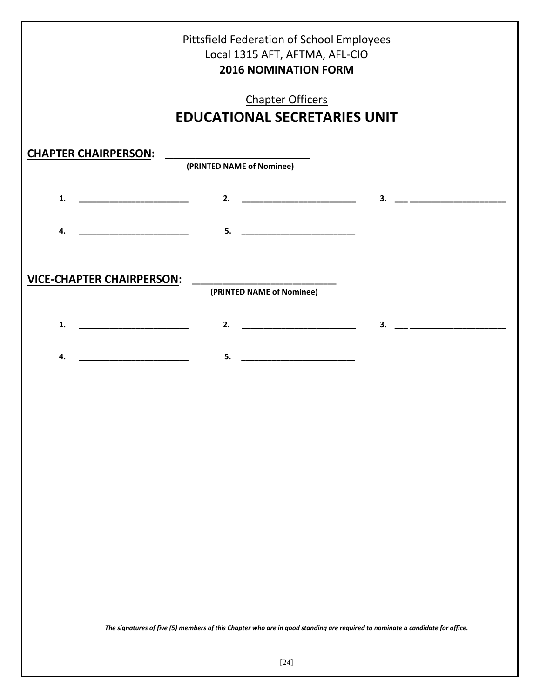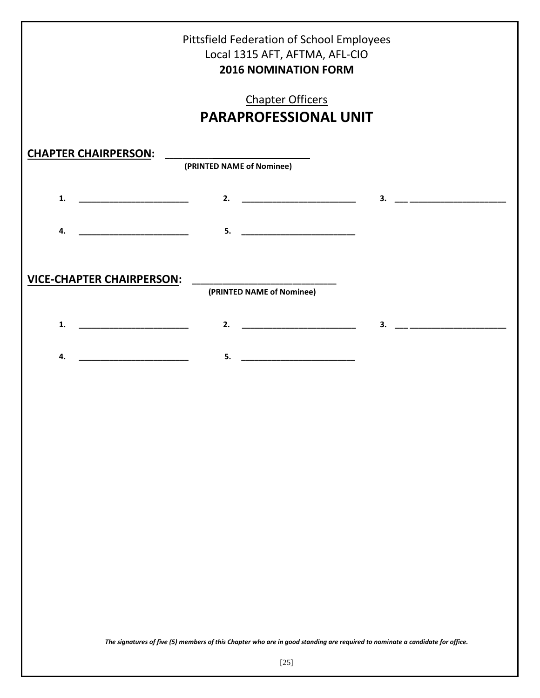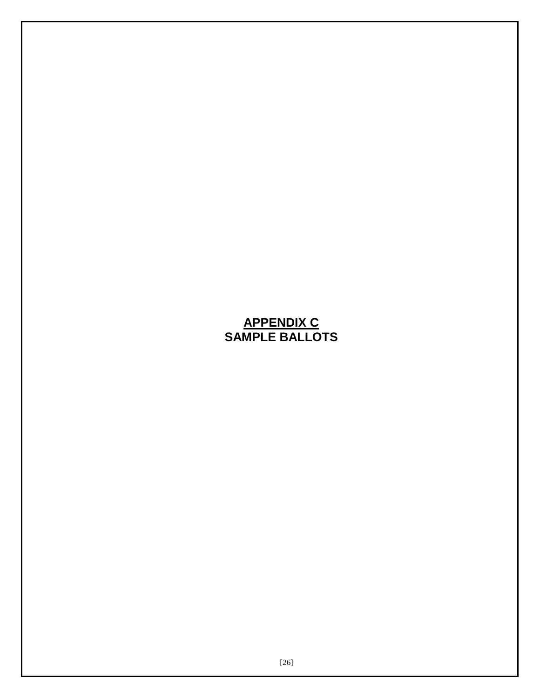# **APPENDIX C SAMPLE BALLOTS**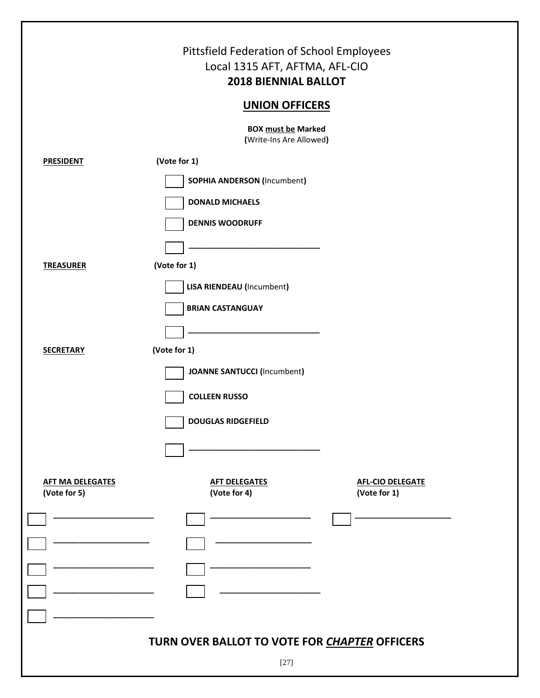|                                         | Pittsfield Federation of School Employees<br>Local 1315 AFT, AFTMA, AFL-CIO<br><b>2018 BIENNIAL BALLOT</b> |
|-----------------------------------------|------------------------------------------------------------------------------------------------------------|
|                                         | <b>UNION OFFICERS</b>                                                                                      |
|                                         | <b>BOX must be Marked</b><br>(Write-Ins Are Allowed)                                                       |
| <b>PRESIDENT</b>                        | (Vote for 1)                                                                                               |
|                                         | <b>SOPHIA ANDERSON (Incumbent)</b>                                                                         |
|                                         | <b>DONALD MICHAELS</b>                                                                                     |
|                                         | <b>DENNIS WOODRUFF</b>                                                                                     |
|                                         |                                                                                                            |
| <b>TREASURER</b>                        | (Vote for 1)                                                                                               |
|                                         | <b>LISA RIENDEAU (Incumbent)</b>                                                                           |
|                                         | <b>BRIAN CASTANGUAY</b>                                                                                    |
|                                         |                                                                                                            |
| <b>SECRETARY</b>                        | (Vote for 1)                                                                                               |
|                                         | <b>JOANNE SANTUCCI (Incumbent)</b>                                                                         |
|                                         | <b>COLLEEN RUSSO</b>                                                                                       |
|                                         | <b>DOUGLAS RIDGEFIELD</b>                                                                                  |
|                                         |                                                                                                            |
|                                         |                                                                                                            |
| <b>AFT MA DELEGATES</b><br>(Vote for 5) | <b>AFT DELEGATES</b><br><b>AFL-CIO DELEGATE</b><br>(Vote for 4)<br>(Vote for 1)                            |
|                                         |                                                                                                            |
|                                         |                                                                                                            |
|                                         |                                                                                                            |
|                                         |                                                                                                            |
|                                         |                                                                                                            |
|                                         |                                                                                                            |
|                                         | TURN OVER BALLOT TO VOTE FOR CHAPTER OFFICERS                                                              |
|                                         | $[27]$                                                                                                     |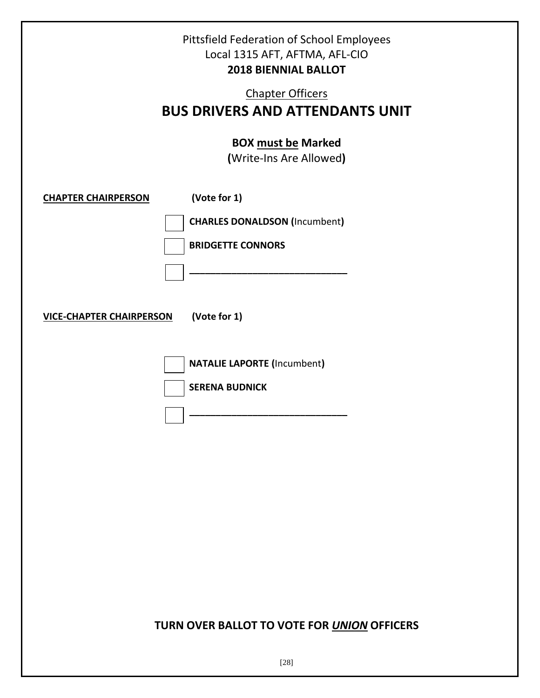|                                                               | Pittsfield Federation of School Employees<br>Local 1315 AFT, AFTMA, AFL-CIO<br><b>2018 BIENNIAL BALLOT</b><br><b>Chapter Officers</b><br><b>BUS DRIVERS AND ATTENDANTS UNIT</b> |
|---------------------------------------------------------------|---------------------------------------------------------------------------------------------------------------------------------------------------------------------------------|
|                                                               | <b>BOX must be Marked</b><br>(Write-Ins Are Allowed)                                                                                                                            |
| <b>CHAPTER CHAIRPERSON</b><br><b>VICE-CHAPTER CHAIRPERSON</b> | (Vote for 1)<br><b>CHARLES DONALDSON (Incumbent)</b><br><b>BRIDGETTE CONNORS</b><br>(Vote for 1)                                                                                |
|                                                               | <b>NATALIE LAPORTE (Incumbent)</b><br><b>SERENA BUDNICK</b>                                                                                                                     |
|                                                               |                                                                                                                                                                                 |
|                                                               | TURN OVER BALLOT TO VOTE FOR UNION OFFICERS                                                                                                                                     |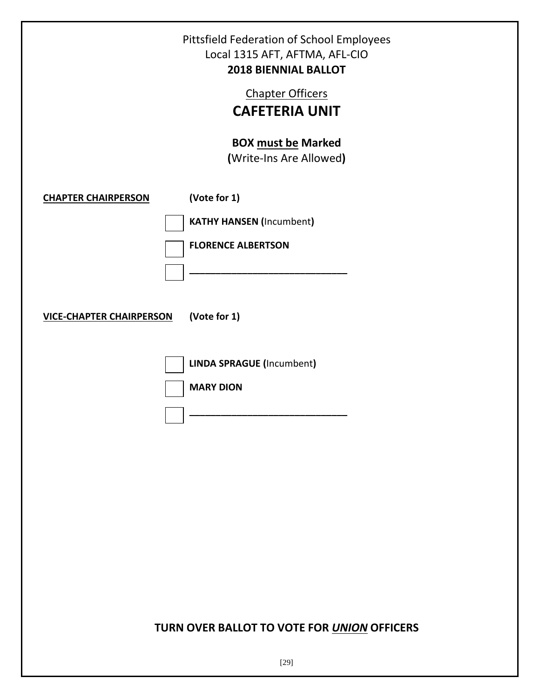| Pittsfield Federation of School Employees<br>Local 1315 AFT, AFTMA, AFL-CIO<br><b>2018 BIENNIAL BALLOT</b> |
|------------------------------------------------------------------------------------------------------------|
| <b>Chapter Officers</b><br><b>CAFETERIA UNIT</b>                                                           |
| <b>BOX must be Marked</b><br>(Write-Ins Are Allowed)                                                       |
| (Vote for 1)<br><b>CHAPTER CHAIRPERSON</b>                                                                 |
| <b>KATHY HANSEN (Incumbent)</b>                                                                            |
| <b>FLORENCE ALBERTSON</b>                                                                                  |
|                                                                                                            |
| (Vote for 1)<br><b>VICE-CHAPTER CHAIRPERSON</b>                                                            |
| <b>LINDA SPRAGUE (Incumbent)</b>                                                                           |
| <b>MARY DION</b>                                                                                           |
|                                                                                                            |
|                                                                                                            |
|                                                                                                            |
|                                                                                                            |
|                                                                                                            |
|                                                                                                            |
|                                                                                                            |
|                                                                                                            |

# **TURN OVER BALLOT TO VOTE FOR** *UNION* **OFFICERS**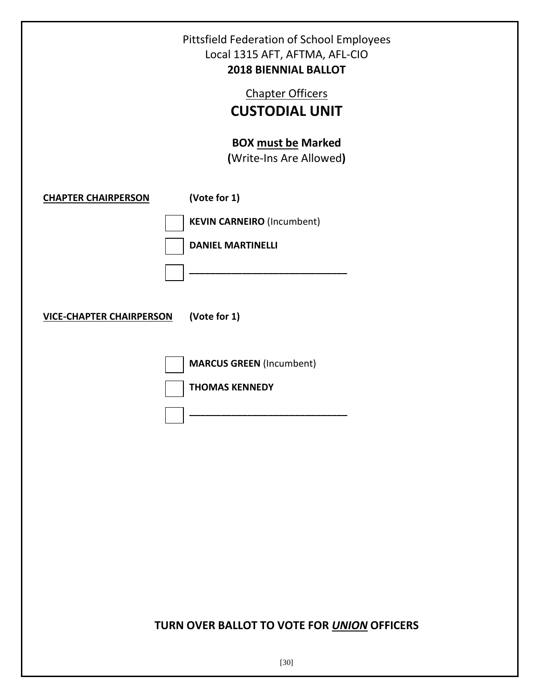| Pittsfield Federation of School Employees<br>Local 1315 AFT, AFTMA, AFL-CIO<br><b>2018 BIENNIAL BALLOT</b><br><b>Chapter Officers</b><br><b>CUSTODIAL UNIT</b><br><b>BOX must be Marked</b><br>(Write-Ins Are Allowed) |                                                                                               |  |
|------------------------------------------------------------------------------------------------------------------------------------------------------------------------------------------------------------------------|-----------------------------------------------------------------------------------------------|--|
| <b>CHAPTER CHAIRPERSON</b><br><b>VICE-CHAPTER CHAIRPERSON</b>                                                                                                                                                          | (Vote for 1)<br><b>KEVIN CARNEIRO (Incumbent)</b><br><b>DANIEL MARTINELLI</b><br>(Vote for 1) |  |
|                                                                                                                                                                                                                        | <b>MARCUS GREEN (Incumbent)</b><br><b>THOMAS KENNEDY</b>                                      |  |
|                                                                                                                                                                                                                        |                                                                                               |  |
| TURN OVER BALLOT TO VOTE FOR UNION OFFICERS                                                                                                                                                                            |                                                                                               |  |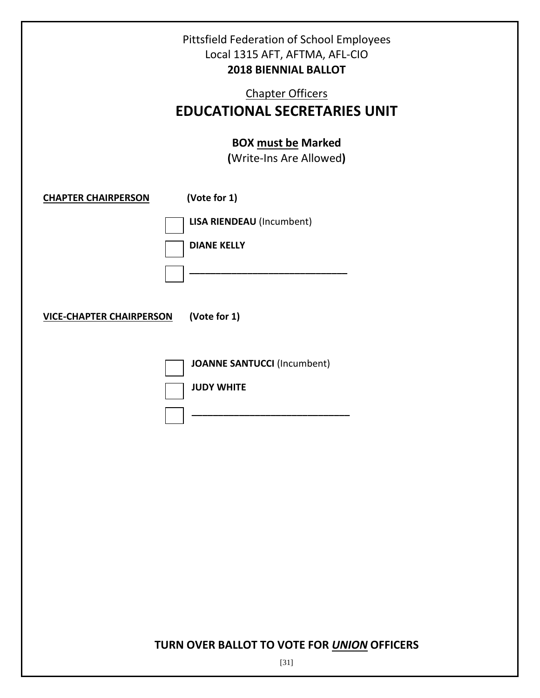| <b>Pittsfield Federation of School Employees</b><br>Local 1315 AFT, AFTMA, AFL-CIO<br><b>2018 BIENNIAL BALLOT</b><br><b>Chapter Officers</b><br><b>EDUCATIONAL SECRETARIES UNIT</b><br><b>BOX must be Marked</b><br>(Write-Ins Are Allowed) |                                                                        |  |
|---------------------------------------------------------------------------------------------------------------------------------------------------------------------------------------------------------------------------------------------|------------------------------------------------------------------------|--|
| <b>CHAPTER CHAIRPERSON</b>                                                                                                                                                                                                                  | (Vote for 1)<br><b>LISA RIENDEAU</b> (Incumbent)<br><b>DIANE KELLY</b> |  |
| (Vote for 1)<br><b>VICE-CHAPTER CHAIRPERSON</b>                                                                                                                                                                                             |                                                                        |  |
|                                                                                                                                                                                                                                             | <b>JOANNE SANTUCCI (Incumbent)</b><br><b>JUDY WHITE</b>                |  |

# **TURN OVER BALLOT TO VOTE FOR** *UNION* **OFFICERS**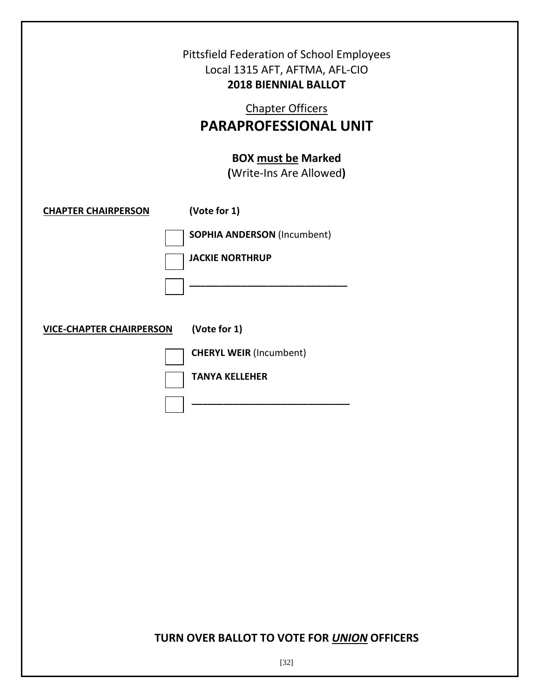|                                                 | Pittsfield Federation of School Employees<br>Local 1315 AFT, AFTMA, AFL-CIO<br><b>2018 BIENNIAL BALLOT</b><br><b>Chapter Officers</b><br><b>PARAPROFESSIONAL UNIT</b><br><b>BOX must be Marked</b><br>(Write-Ins Are Allowed) |  |
|-------------------------------------------------|-------------------------------------------------------------------------------------------------------------------------------------------------------------------------------------------------------------------------------|--|
| <b>CHAPTER CHAIRPERSON</b>                      | (Vote for 1)                                                                                                                                                                                                                  |  |
|                                                 | <b>SOPHIA ANDERSON (Incumbent)</b>                                                                                                                                                                                            |  |
|                                                 | <b>JACKIE NORTHRUP</b>                                                                                                                                                                                                        |  |
|                                                 |                                                                                                                                                                                                                               |  |
| (Vote for 1)<br><b>VICE-CHAPTER CHAIRPERSON</b> |                                                                                                                                                                                                                               |  |
|                                                 | <b>CHERYL WEIR (Incumbent)</b>                                                                                                                                                                                                |  |
|                                                 | <b>TANYA KELLEHER</b>                                                                                                                                                                                                         |  |
|                                                 |                                                                                                                                                                                                                               |  |
|                                                 |                                                                                                                                                                                                                               |  |
|                                                 |                                                                                                                                                                                                                               |  |
|                                                 |                                                                                                                                                                                                                               |  |
|                                                 |                                                                                                                                                                                                                               |  |
|                                                 |                                                                                                                                                                                                                               |  |
|                                                 |                                                                                                                                                                                                                               |  |
|                                                 |                                                                                                                                                                                                                               |  |
|                                                 |                                                                                                                                                                                                                               |  |

# **TURN OVER BALLOT TO VOTE FOR** *UNION* **OFFICERS**